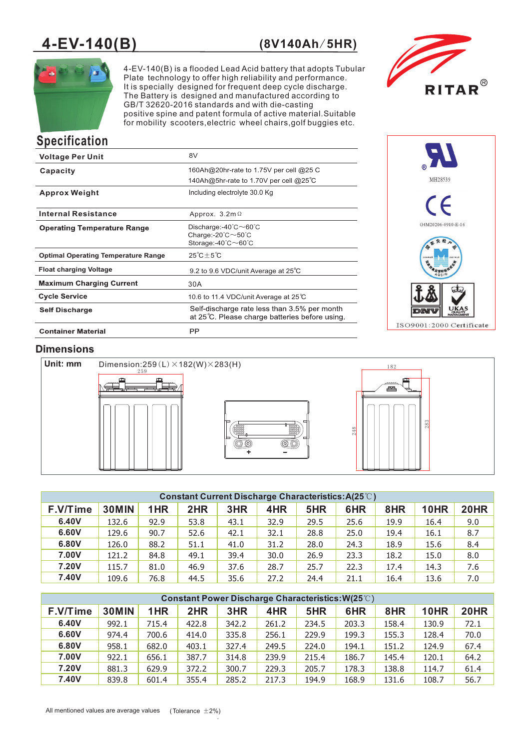# **4-EV-140(B) (8V140Ah**/**5HR)**



4-EV-140(B) is a flooded Lead Acid battery that adopts Tubular Plate technology to offer high reliability and performance. It is specially designed for frequent deep cycle discharge. The Battery is designed and manufactured according to GB/T 32620-2016 standards and with die-casting positive spine and patent formula of active material.Suitable for mobility scooters,electric wheel chairs,golf buggies etc.



# **Specification**

| <b>Voltage Per Unit</b>                    | 8V                                                                                                                                                     |
|--------------------------------------------|--------------------------------------------------------------------------------------------------------------------------------------------------------|
| Capacity                                   | 160Ah@20hr-rate to 1.75V per cell @25 C<br>140Ah@5hr-rate to 1.70V per cell @25°C                                                                      |
| <b>Approx Weight</b>                       | Including electrolyte 30.0 Kg                                                                                                                          |
| <b>Internal Resistance</b>                 | Approx. $3.2m\Omega$                                                                                                                                   |
| <b>Operating Temperature Range</b>         | Discharge:- $40^{\circ}$ C $\sim$ 60 $^{\circ}$ C<br>Charge:- $20^{\circ}$ C $\sim$ 50 $^{\circ}$ C<br>Storage:-40 $^{\circ}$ C $\sim$ 60 $^{\circ}$ C |
| <b>Optimal Operating Temperature Range</b> | $25^{\circ}C+5^{\circ}C$                                                                                                                               |
| <b>Float charging Voltage</b>              | 9.2 to 9.6 VDC/unit Average at 25°C                                                                                                                    |
| <b>Maximum Charging Current</b>            | 30A                                                                                                                                                    |
| <b>Cycle Service</b>                       | 10.6 to 11.4 VDC/unit Average at 25℃                                                                                                                   |
| <b>Self Discharge</b>                      | Self-discharge rate less than 3.5% per month<br>at 25°C. Please charge batteries before using.                                                         |
| <b>Container Material</b>                  | PP                                                                                                                                                     |



# **Dimensions**







|          | <b>Constant Current Discharge Characteristics:A(25°C)</b> |      |      |      |      |      |      |      |             |             |
|----------|-----------------------------------------------------------|------|------|------|------|------|------|------|-------------|-------------|
| F.V/Time | 30MIN                                                     | 1HR  | 2HR  | 3HR  | 4HR  | 5HR  | 6HR  | 8HR  | <b>10HR</b> | <b>20HR</b> |
| 6.40V    | 132.6                                                     | 92.9 | 53.8 | 43.1 | 32.9 | 29.5 | 25.6 | 19.9 | 16.4        | 9.0         |
| 6.60V    | 129.6                                                     | 90.7 | 52.6 | 42.1 | 32.1 | 28.8 | 25.0 | 19.4 | 16.1        | 8.7         |
| 6.80V    | 126.0                                                     | 88.2 | 51.1 | 41.0 | 31.2 | 28.0 | 24.3 | 18.9 | 15.6        | 8.4         |
| 7.00V    | 121.2                                                     | 84.8 | 49.1 | 39.4 | 30.0 | 26.9 | 23.3 | 18.2 | 15.0        | 8.0         |
| 7.20V    | 115.7                                                     | 81.0 | 46.9 | 37.6 | 28.7 | 25.7 | 22.3 | 17.4 | 14.3        | 7.6         |
| 7.40V    | 109.6                                                     | 76.8 | 44.5 | 35.6 | 27.2 | 24.4 | 21.1 | 16.4 | 13.6        | 7.0         |

|          | <b>Constant Power Discharge Characteristics: W(25°C)</b> |       |       |       |       |       |       |       |             |             |
|----------|----------------------------------------------------------|-------|-------|-------|-------|-------|-------|-------|-------------|-------------|
| F.V/Time | <b>30MIN</b>                                             | 1HR   | 2HR   | 3HR   | 4HR   | 5HR   | 6HR   | 8HR   | <b>10HR</b> | <b>20HR</b> |
| 6.40V    | 992.1                                                    | 715.4 | 422.8 | 342.2 | 261.2 | 234.5 | 203.3 | 158.4 | 130.9       | 72.1        |
| 6.60V    | 974.4                                                    | 700.6 | 414.0 | 335.8 | 256.1 | 229.9 | 199.3 | 155.3 | 128.4       | 70.0        |
| 6.80V    | 958.1                                                    | 682.0 | 403.1 | 327.4 | 249.5 | 224.0 | 194.1 | 151.2 | 124.9       | 67.4        |
| 7.00V    | 922.1                                                    | 656.1 | 387.7 | 314.8 | 239.9 | 215.4 | 186.7 | 145.4 | 120.1       | 64.2        |
| 7.20V    | 881.3                                                    | 629.9 | 372.2 | 300.7 | 229.3 | 205.7 | 178.3 | 138.8 | 114.7       | 61.4        |
| 7.40V    | 839.8                                                    | 601.4 | 355.4 | 285.2 | 217.3 | 194.9 | 168.9 | 131.6 | 108.7       | 56.7        |